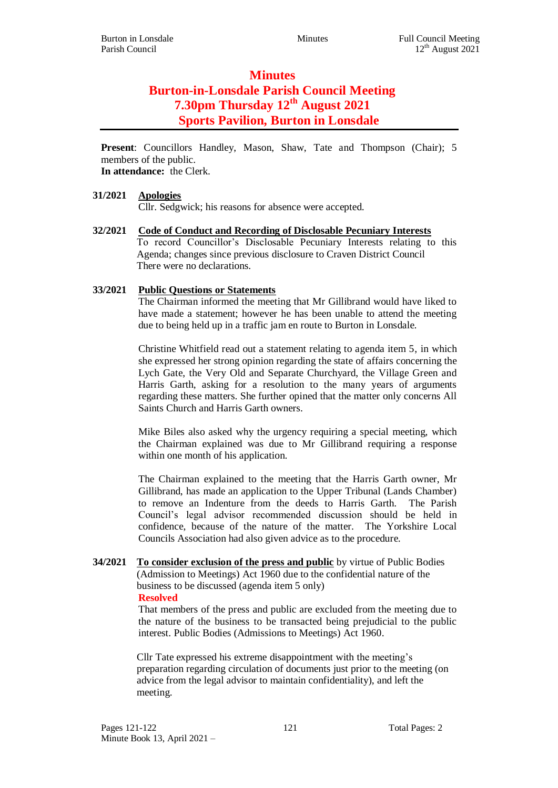# **Minutes Burton-in-Lonsdale Parish Council Meeting 7.30pm Thursday 12th August 2021 Sports Pavilion, Burton in Lonsdale**

**Present**: Councillors Handley, Mason, Shaw, Tate and Thompson (Chair); 5 members of the public. **In attendance:** the Clerk.

### **31/2021 Apologies**

Cllr. Sedgwick; his reasons for absence were accepted.

**32/2021 Code of Conduct and Recording of Disclosable Pecuniary Interests** To record Councillor's Disclosable Pecuniary Interests relating to this Agenda; changes since previous disclosure to Craven District Council There were no declarations.

### **33/2021 Public Questions or Statements**

The Chairman informed the meeting that Mr Gillibrand would have liked to have made a statement; however he has been unable to attend the meeting due to being held up in a traffic jam en route to Burton in Lonsdale.

Christine Whitfield read out a statement relating to agenda item 5, in which she expressed her strong opinion regarding the state of affairs concerning the Lych Gate, the Very Old and Separate Churchyard, the Village Green and Harris Garth, asking for a resolution to the many years of arguments regarding these matters. She further opined that the matter only concerns All Saints Church and Harris Garth owners.

Mike Biles also asked why the urgency requiring a special meeting, which the Chairman explained was due to Mr Gillibrand requiring a response within one month of his application.

The Chairman explained to the meeting that the Harris Garth owner, Mr Gillibrand, has made an application to the Upper Tribunal (Lands Chamber) to remove an Indenture from the deeds to Harris Garth. The Parish Council's legal advisor recommended discussion should be held in confidence, because of the nature of the matter. The Yorkshire Local Councils Association had also given advice as to the procedure.

**34/2021 To consider exclusion of the press and public** by virtue of Public Bodies (Admission to Meetings) Act 1960 due to the confidential nature of the business to be discussed (agenda item 5 only) **Resolved**

That members of the press and public are excluded from the meeting due to the nature of the business to be transacted being prejudicial to the public interest. Public Bodies (Admissions to Meetings) Act 1960.

Cllr Tate expressed his extreme disappointment with the meeting's preparation regarding circulation of documents just prior to the meeting (on advice from the legal advisor to maintain confidentiality), and left the meeting.